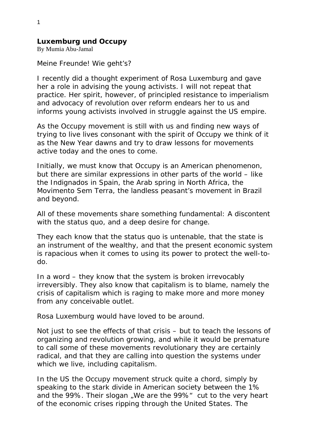## **Luxemburg und Occupy**

By Mumia Abu-Jamal

Meine Freunde! Wie geht's?

I recently did a thought experiment of Rosa Luxemburg and gave her a role in advising the young activists. I will not repeat that practice. Her spirit, however, of principled resistance to imperialism and advocacy of revolution over reform endears her to us and informs young activists involved in struggle against the US empire.

As the Occupy movement is still with us and finding new ways of trying to live lives consonant with the spirit of Occupy we think of it as the New Year dawns and try to draw lessons for movements active today and the ones to come.

Initially, we must know that Occupy is an American phenomenon, but there are similar expressions in other parts of the world – like the Indignados in Spain, the Arab spring in North Africa, the Movimento Sem Terra, the landless peasant's movement in Brazil and beyond.

All of these movements share something fundamental: A discontent with the status quo, and a deep desire for change.

They each know that the status quo is untenable, that the state is an instrument of the wealthy, and that the present economic system is rapacious when it comes to using its power to protect the well-todo.

In a word – they know that the system is broken irrevocably irreversibly. They also know that capitalism is to blame, namely the crisis of capitalism which is raging to make more and more money from any conceivable outlet.

Rosa Luxemburg would have loved to be around.

Not just to see the effects of that crisis – but to teach the lessons of organizing and revolution growing, and while it would be premature to call some of these movements revolutionary they are certainly radical, and that they are calling into question the systems under which we live, including capitalism.

In the US the Occupy movement struck quite a chord, simply by speaking to the stark divide in American society between the 1% and the 99%. Their slogan, We are the 99%" cut to the very heart of the economic crises ripping through the United States. The